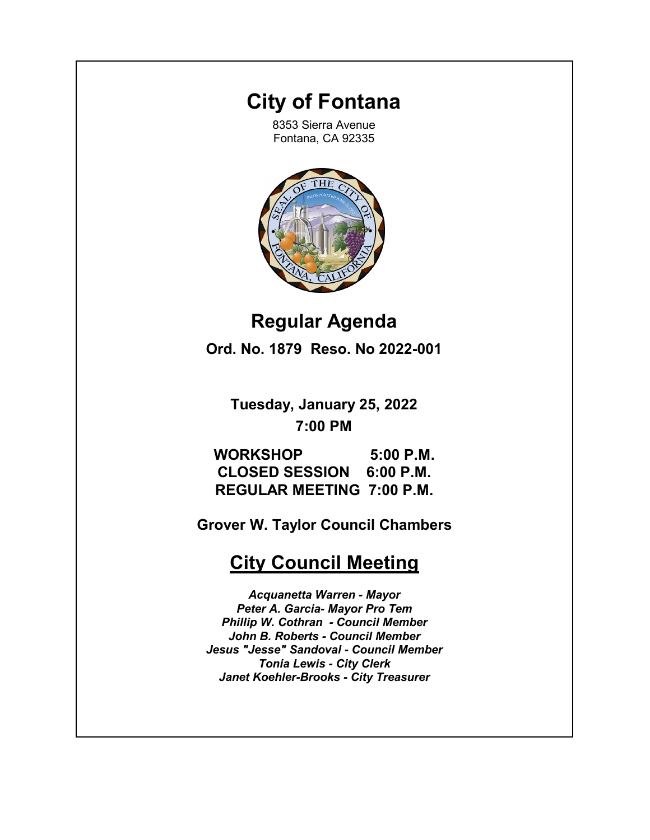# **City of Fontana**

8353 Sierra Avenue Fontana, CA 92335



**Regular Agenda Ord. No. 1879 Reso. No 2022-001**

**Tuesday, January 25, 2022 7:00 PM**

**WORKSHOP 5:00 P.M. CLOSED SESSION 6:00 P.M. REGULAR MEETING 7:00 P.M.** 

**Grover W. Taylor Council Chambers**

# **City Council Meeting**

*Acquanetta Warren - Mayor Peter A. Garcia- Mayor Pro Tem Phillip W. Cothran - Council Member John B. Roberts - Council Member Jesus "Jesse" Sandoval - Council Member Tonia Lewis - City Clerk Janet Koehler-Brooks - City Treasurer*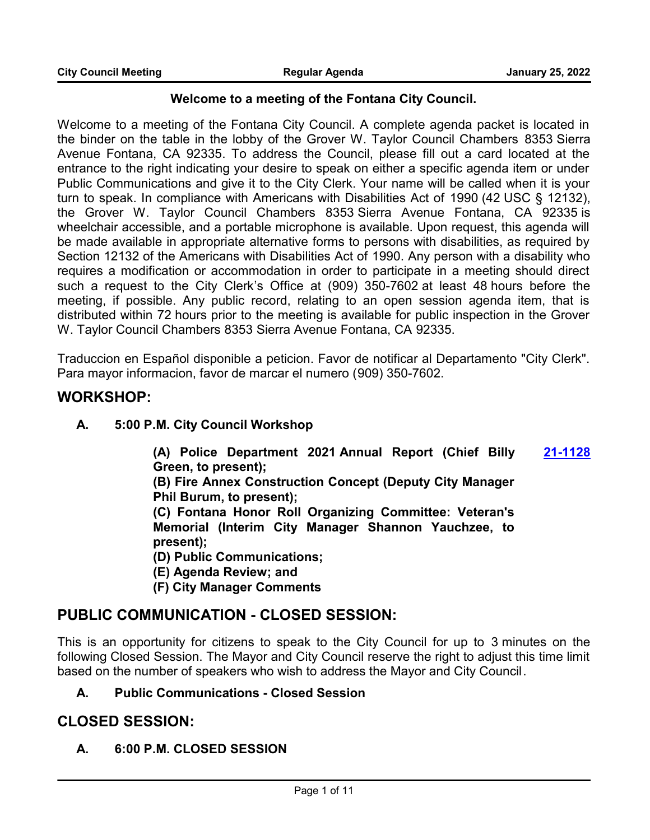#### **Welcome to a meeting of the Fontana City Council.**

Welcome to a meeting of the Fontana City Council. A complete agenda packet is located in the binder on the table in the lobby of the Grover W. Taylor Council Chambers 8353 Sierra Avenue Fontana, CA 92335. To address the Council, please fill out a card located at the entrance to the right indicating your desire to speak on either a specific agenda item or under Public Communications and give it to the City Clerk. Your name will be called when it is your turn to speak. In compliance with Americans with Disabilities Act of 1990 (42 USC § 12132), the Grover W. Taylor Council Chambers 8353 Sierra Avenue Fontana, CA 92335 is wheelchair accessible, and a portable microphone is available. Upon request, this agenda will be made available in appropriate alternative forms to persons with disabilities, as required by Section 12132 of the Americans with Disabilities Act of 1990. Any person with a disability who requires a modification or accommodation in order to participate in a meeting should direct such a request to the City Clerk's Office at (909) 350-7602 at least 48 hours before the meeting, if possible. Any public record, relating to an open session agenda item, that is distributed within 72 hours prior to the meeting is available for public inspection in the Grover W. Taylor Council Chambers 8353 Sierra Avenue Fontana, CA 92335.

Traduccion en Español disponible a peticion. Favor de notificar al Departamento "City Clerk". Para mayor informacion, favor de marcar el numero (909) 350-7602.

### **WORKSHOP:**

**A. 5:00 P.M. City Council Workshop**

**(A) Police Department 2021 Annual Report (Chief Billy Green, to present); [21-1128](http://fontana.legistar.com/gateway.aspx?m=l&id=/matter.aspx?key=2214)**

**(B) Fire Annex Construction Concept (Deputy City Manager Phil Burum, to present);** 

**(C) Fontana Honor Roll Organizing Committee: Veteran's Memorial (Interim City Manager Shannon Yauchzee, to present);** 

**(D) Public Communications;**

**(E) Agenda Review; and** 

**(F) City Manager Comments**

### **PUBLIC COMMUNICATION - CLOSED SESSION:**

This is an opportunity for citizens to speak to the City Council for up to 3 minutes on the following Closed Session. The Mayor and City Council reserve the right to adjust this time limit based on the number of speakers who wish to address the Mayor and City Council.

#### **A. Public Communications - Closed Session**

### **CLOSED SESSION:**

**A. 6:00 P.M. CLOSED SESSION**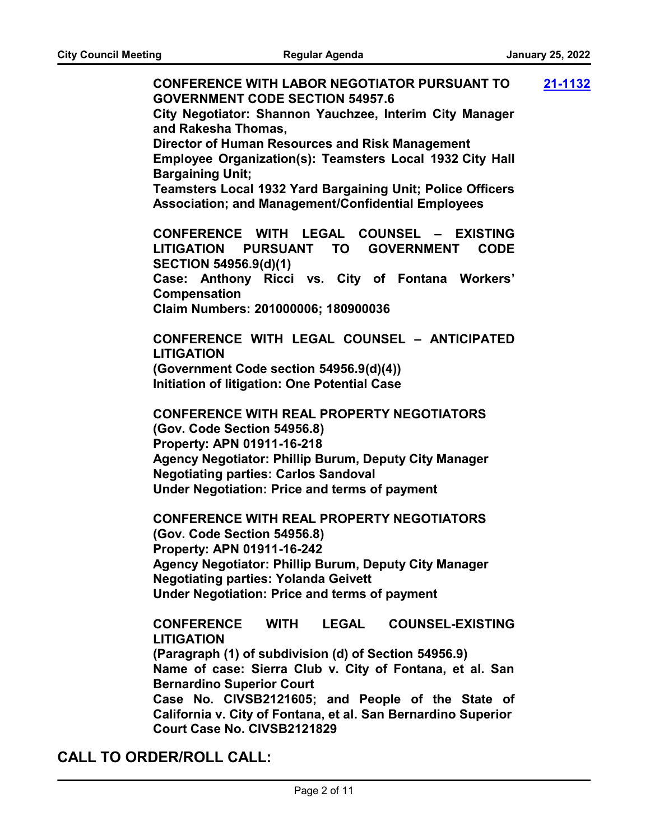**CONFERENCE WITH LABOR NEGOTIATOR PURSUANT TO GOVERNMENT CODE SECTION 54957.6 City Negotiator: Shannon Yauchzee, Interim City Manager and Rakesha Thomas, Director of Human Resources and Risk Management Employee Organization(s): Teamsters Local 1932 City Hall Bargaining Unit; Teamsters Local 1932 Yard Bargaining Unit; Police Officers Association; and Management/Confidential Employees CONFERENCE WITH LEGAL COUNSEL – EXISTING LITIGATION PURSUANT TO GOVERNMENT CODE SECTION 54956.9(d)(1) Case: Anthony Ricci vs. City of Fontana Workers' Compensation Claim Numbers: 201000006; 180900036 CONFERENCE WITH LEGAL COUNSEL – ANTICIPATED LITIGATION (Government Code section 54956.9(d)(4)) Initiation of litigation: One Potential Case CONFERENCE WITH REAL PROPERTY NEGOTIATORS (Gov. Code Section 54956.8) Property: APN 01911-16-218 Agency Negotiator: Phillip Burum, Deputy City Manager Negotiating parties: Carlos Sandoval Under Negotiation: Price and terms of payment CONFERENCE WITH REAL PROPERTY NEGOTIATORS (Gov. Code Section 54956.8) Property: APN 01911-16-242 Agency Negotiator: Phillip Burum, Deputy City Manager Negotiating parties: Yolanda Geivett Under Negotiation: Price and terms of payment CONFERENCE WITH LEGAL COUNSEL-EXISTING LITIGATION (Paragraph (1) of subdivision (d) of Section 54956.9) Name of case: Sierra Club v. City of Fontana, et al. San Bernardino Superior Court Case No. CIVSB2121605; and People of the State of California v. City of Fontana, et al. San Bernardino Superior Court Case No. CIVSB2121829 [21-1132](http://fontana.legistar.com/gateway.aspx?m=l&id=/matter.aspx?key=2218)**

### **CALL TO ORDER/ROLL CALL:**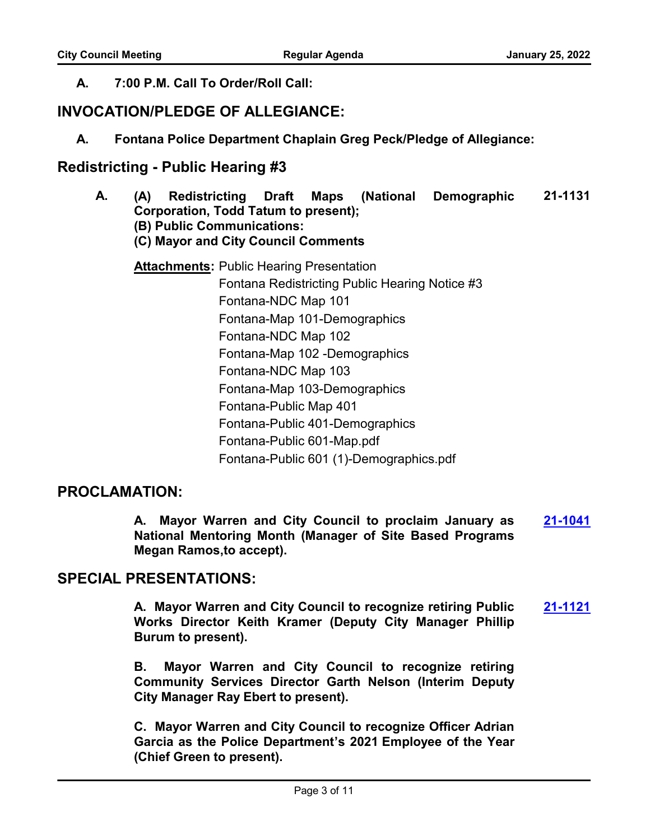### **A. 7:00 P.M. Call To Order/Roll Call:**

# **INVOCATION/PLEDGE OF ALLEGIANCE:**

**A. Fontana Police Department Chaplain Greg Peck/Pledge of Allegiance:**

# **Redistricting - Public Hearing #3**

**A. (A) Redistricting Draft Maps (National Demographic Corporation, Todd Tatum to present); (B) Public Communications: (C) Mayor and City Council Comments 21-1131 Attachments: Public Hearing Presentation** 

Fontana Redistricting Public Hearing Notice #3 Fontana-NDC Map 101 Fontana-Map 101-Demographics Fontana-NDC Map 102 Fontana-Map 102 -Demographics Fontana-NDC Map 103 Fontana-Map 103-Demographics Fontana-Public Map 401 Fontana-Public 401-Demographics Fontana-Public 601-Map.pdf Fontana-Public 601 (1)-Demographics.pdf

# **PROCLAMATION:**

**A. Mayor Warren and City Council to proclaim January as National Mentoring Month (Manager of Site Based Programs Megan Ramos,to accept). [21-1041](http://fontana.legistar.com/gateway.aspx?m=l&id=/matter.aspx?key=2126)**

## **SPECIAL PRESENTATIONS:**

**A. Mayor Warren and City Council to recognize retiring Public Works Director Keith Kramer (Deputy City Manager Phillip Burum to present). [21-1121](http://fontana.legistar.com/gateway.aspx?m=l&id=/matter.aspx?key=2207)**

**B. Mayor Warren and City Council to recognize retiring Community Services Director Garth Nelson (Interim Deputy City Manager Ray Ebert to present).**

**C. Mayor Warren and City Council to recognize Officer Adrian Garcia as the Police Department's 2021 Employee of the Year (Chief Green to present).**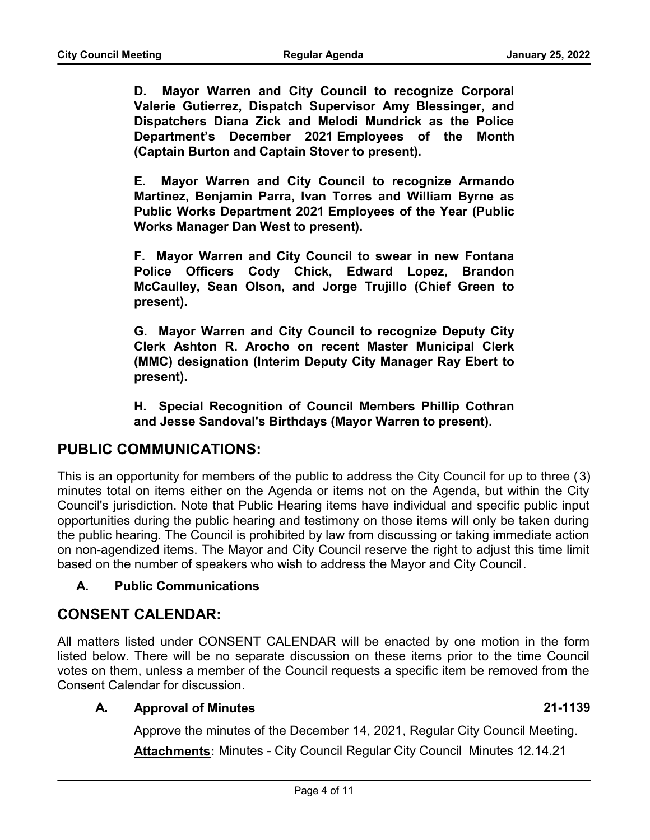**D. Mayor Warren and City Council to recognize Corporal Valerie Gutierrez, Dispatch Supervisor Amy Blessinger, and Dispatchers Diana Zick and Melodi Mundrick as the Police Department's December 2021 Employees of the Month (Captain Burton and Captain Stover to present).**

**E. Mayor Warren and City Council to recognize Armando Martinez, Benjamin Parra, Ivan Torres and William Byrne as Public Works Department 2021 Employees of the Year (Public Works Manager Dan West to present).**

**F. Mayor Warren and City Council to swear in new Fontana Police Officers Cody Chick, Edward Lopez, Brandon McCaulley, Sean Olson, and Jorge Trujillo (Chief Green to present).**

**G. Mayor Warren and City Council to recognize Deputy City Clerk Ashton R. Arocho on recent Master Municipal Clerk (MMC) designation (Interim Deputy City Manager Ray Ebert to present).**

**H. Special Recognition of Council Members Phillip Cothran and Jesse Sandoval's Birthdays (Mayor Warren to present).**

### **PUBLIC COMMUNICATIONS:**

This is an opportunity for members of the public to address the City Council for up to three (3) minutes total on items either on the Agenda or items not on the Agenda, but within the City Council's jurisdiction. Note that Public Hearing items have individual and specific public input opportunities during the public hearing and testimony on those items will only be taken during the public hearing. The Council is prohibited by law from discussing or taking immediate action on non-agendized items. The Mayor and City Council reserve the right to adjust this time limit based on the number of speakers who wish to address the Mayor and City Council.

#### **A. Public Communications**

### **CONSENT CALENDAR:**

All matters listed under CONSENT CALENDAR will be enacted by one motion in the form listed below. There will be no separate discussion on these items prior to the time Council votes on them, unless a member of the Council requests a specific item be removed from the Consent Calendar for discussion.

#### **A. Approval of Minutes 21-1139**

Approve the minutes of the December 14, 2021, Regular City Council Meeting.

**Attachments:** Minutes - City Council Regular City Council Minutes 12.14.21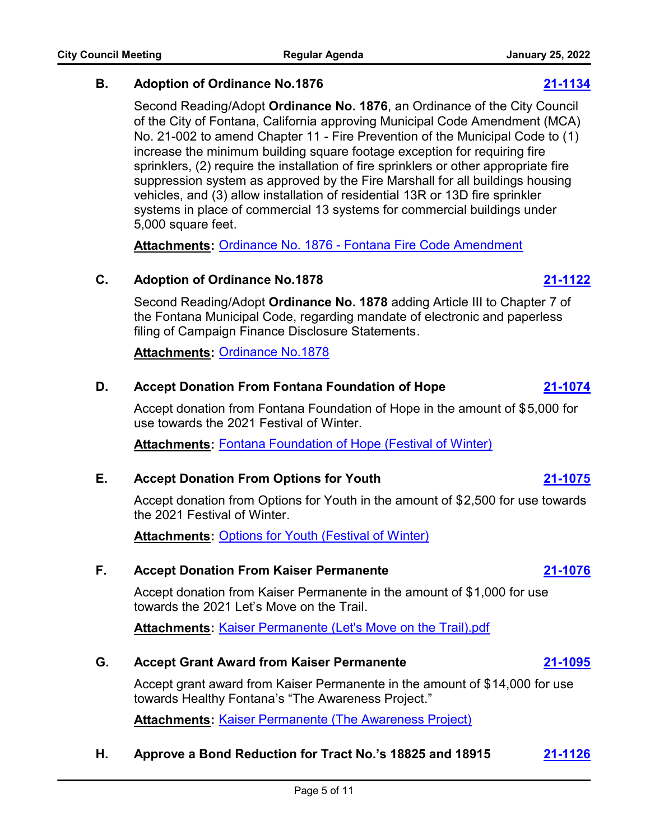of the City of Fontana, California approving Municipal Code Amendment (MCA) No. 21-002 to amend Chapter 11 - Fire Prevention of the Municipal Code to (1) increase the minimum building square footage exception for requiring fire sprinklers, (2) require the installation of fire sprinklers or other appropriate fire suppression system as approved by the Fire Marshall for all buildings housing vehicles, and (3) allow installation of residential 13R or 13D fire sprinkler systems in place of commercial 13 systems for commercial buildings under 5,000 square feet.

Second Reading/Adopt **Ordinance No. 1876**, an Ordinance of the City Council

**B. Adoption of Ordinance No.1876 [21-1134](http://fontana.legistar.com/gateway.aspx?m=l&id=/matter.aspx?key=2220)**

**Attachments:** [Ordinance No. 1876 - Fontana Fire Code Amendment](http://fontana.legistar.com/gateway.aspx?M=F&ID=6f3aa63a-064a-4c6d-bbad-d66802fc352e.pdf)

#### **C. Adoption of Ordinance No.1878 [21-1122](http://fontana.legistar.com/gateway.aspx?m=l&id=/matter.aspx?key=2208)**

Second Reading/Adopt **Ordinance No. 1878** adding Article III to Chapter 7 of the Fontana Municipal Code, regarding mandate of electronic and paperless filing of Campaign Finance Disclosure Statements.

**Attachments:** [Ordinance No.1878](http://fontana.legistar.com/gateway.aspx?M=F&ID=9e1b845a-dbed-40a3-b744-19e9d07f4b77.pdf)

#### **D. Accept Donation From Fontana Foundation of Hope [21-1074](http://fontana.legistar.com/gateway.aspx?m=l&id=/matter.aspx?key=2160)**

Accept donation from Fontana Foundation of Hope in the amount of \$5,000 for use towards the 2021 Festival of Winter.

**Attachments:** [Fontana Foundation of Hope \(Festival of Winter\)](http://fontana.legistar.com/gateway.aspx?M=F&ID=c4bed2bb-e487-4afe-9824-6481f666d2bb.pdf)

### **E. Accept Donation From Options for Youth [21-1075](http://fontana.legistar.com/gateway.aspx?m=l&id=/matter.aspx?key=2161)**

Accept donation from Options for Youth in the amount of \$2,500 for use towards the 2021 Festival of Winter.

**Attachments:** [Options for Youth \(Festival of Winter\)](http://fontana.legistar.com/gateway.aspx?M=F&ID=f9893a25-4ef4-4aba-ace7-1a8590e33966.pdf)

#### **F. Accept Donation From Kaiser Permanente [21-1076](http://fontana.legistar.com/gateway.aspx?m=l&id=/matter.aspx?key=2162)**

Accept donation from Kaiser Permanente in the amount of \$1,000 for use towards the 2021 Let's Move on the Trail.

**Attachments:** [Kaiser Permanente \(Let's Move on the Trail\).pdf](http://fontana.legistar.com/gateway.aspx?M=F&ID=86099c5e-5090-4fd9-921e-471521ced948.pdf)

#### **G. Accept Grant Award from Kaiser Permanente [21-1095](http://fontana.legistar.com/gateway.aspx?m=l&id=/matter.aspx?key=2181)**

Accept grant award from Kaiser Permanente in the amount of \$14,000 for use towards Healthy Fontana's "The Awareness Project."

**Attachments: [Kaiser Permanente \(The Awareness Project\)](http://fontana.legistar.com/gateway.aspx?M=F&ID=0cf5998c-c865-4424-b660-695f0ae3edff.pdf)** 

### **H. Approve a Bond Reduction for Tract No.'s 18825 and 18915 [21-1126](http://fontana.legistar.com/gateway.aspx?m=l&id=/matter.aspx?key=2212)**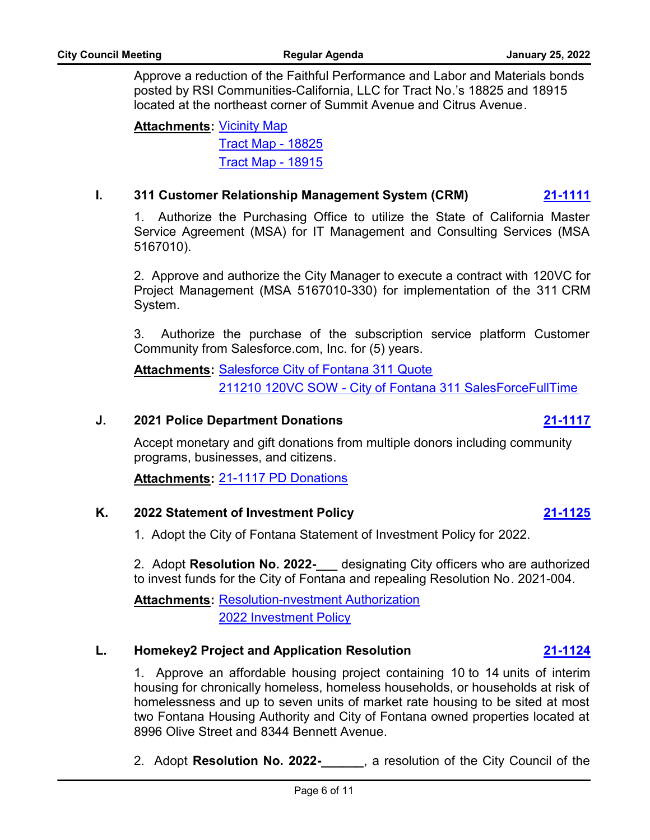Approve a reduction of the Faithful Performance and Labor and Materials bonds posted by RSI Communities-California, LLC for Tract No.'s 18825 and 18915 located at the northeast corner of Summit Avenue and Citrus Avenue.

**<u>Attachments</u>: <u>[Vicinity Map](http://fontana.legistar.com/gateway.aspx?M=F&ID=4ddc2d13-4393-482d-b87e-970e2eaa57d9.pdf)</u>** [Tract Map - 18825](http://fontana.legistar.com/gateway.aspx?M=F&ID=70ee63ad-e8df-403d-a4ec-2b61b05c05b4.pdf) [Tract Map - 18915](http://fontana.legistar.com/gateway.aspx?M=F&ID=b09f7bb7-9a3d-43dc-9c41-85ef1b7c5457.pdf)

#### **I. 311 Customer Relationship Management System (CRM) [21-1111](http://fontana.legistar.com/gateway.aspx?m=l&id=/matter.aspx?key=2197)**

1. Authorize the Purchasing Office to utilize the State of California Master Service Agreement (MSA) for IT Management and Consulting Services (MSA 5167010).

2. Approve and authorize the City Manager to execute a contract with 120VC for Project Management (MSA 5167010-330) for implementation of the 311 CRM System.

3. Authorize the purchase of the subscription service platform Customer Community from Salesforce.com, Inc. for (5) years.

**<u>Attachments</u>: [Salesforce City of Fontana 311 Quote](http://fontana.legistar.com/gateway.aspx?M=F&ID=17bc5807-bf2b-4200-ab89-87813c16dbcd.pdf)** [211210 120VC SOW - City of Fontana 311 SalesForceFullTime](http://fontana.legistar.com/gateway.aspx?M=F&ID=7f141aa9-97e0-4f2b-a053-c87c3ddaf0ff.docx)

#### **J. 2021 Police Department Donations [21-1117](http://fontana.legistar.com/gateway.aspx?m=l&id=/matter.aspx?key=2203)**

Accept monetary and gift donations from multiple donors including community programs, businesses, and citizens.

**Attachments:** [21-1117 PD Donations](http://fontana.legistar.com/gateway.aspx?M=F&ID=a9c2ba8b-ce89-450e-b7b2-f69fadaa4ab7.pdf)

#### **K. 2022 Statement of Investment Policy [21-1125](http://fontana.legistar.com/gateway.aspx?m=l&id=/matter.aspx?key=2211)**

1. Adopt the City of Fontana Statement of Investment Policy for 2022.

2. Adopt **Resolution No. 2022-\_\_\_** designating City officers who are authorized to invest funds for the City of Fontana and repealing Resolution No. 2021-004.

**Attachments: [Resolution-nvestment Authorization](http://fontana.legistar.com/gateway.aspx?M=F&ID=02df5dc5-c547-42b8-baa7-add36826a5bb.doc)** [2022 Investment Policy](http://fontana.legistar.com/gateway.aspx?M=F&ID=b2208ca3-6368-45b3-be49-3d614cb99373.pdf)

#### **L. Homekey2 Project and Application Resolution [21-1124](http://fontana.legistar.com/gateway.aspx?m=l&id=/matter.aspx?key=2210)**

1. Approve an affordable housing project containing 10 to 14 units of interim housing for chronically homeless, homeless households, or households at risk of homelessness and up to seven units of market rate housing to be sited at most two Fontana Housing Authority and City of Fontana owned properties located at 8996 Olive Street and 8344 Bennett Avenue.

2. Adopt **Resolution No. 2022-\_\_\_\_\_\_**, a resolution of the City Council of the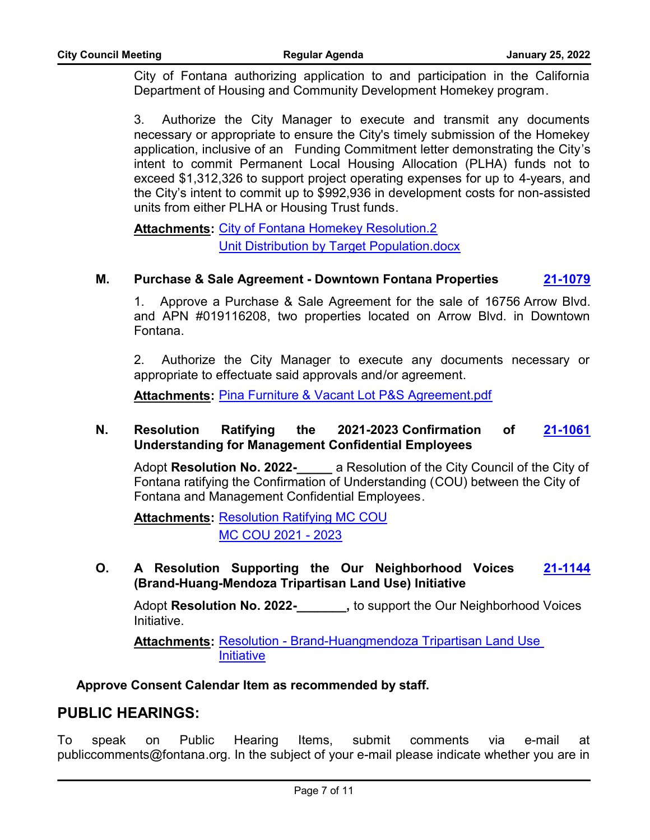City of Fontana authorizing application to and participation in the California Department of Housing and Community Development Homekey program.

3. Authorize the City Manager to execute and transmit any documents necessary or appropriate to ensure the City's timely submission of the Homekey application, inclusive of an Funding Commitment letter demonstrating the City's intent to commit Permanent Local Housing Allocation (PLHA) funds not to exceed \$1,312,326 to support project operating expenses for up to 4-years, and the City's intent to commit up to \$992,936 in development costs for non-assisted units from either PLHA or Housing Trust funds.

**Attachments: [City of Fontana Homekey Resolution.2](http://fontana.legistar.com/gateway.aspx?M=F&ID=86a682be-d535-4cd7-ab35-9f81d85740b8.docx)** [Unit Distribution by Target Population.docx](http://fontana.legistar.com/gateway.aspx?M=F&ID=20c8066d-8cda-4351-b31d-80d6aaf8ab3a.docx)

#### **M. Purchase & Sale Agreement - Downtown Fontana Properties [21-1079](http://fontana.legistar.com/gateway.aspx?m=l&id=/matter.aspx?key=2165)**

1. Approve a Purchase & Sale Agreement for the sale of 16756 Arrow Blvd. and APN #019116208, two properties located on Arrow Blvd. in Downtown Fontana.

2. Authorize the City Manager to execute any documents necessary or appropriate to effectuate said approvals and/or agreement.

**Attachments:** [Pina Furniture & Vacant Lot P&S Agreement.pdf](http://fontana.legistar.com/gateway.aspx?M=F&ID=e79b4745-9302-4151-bd75-28d647db4af8.pdf)

#### **N. Resolution Ratifying the 2021-2023 Confirmation of Understanding for Management Confidential Employees [21-1061](http://fontana.legistar.com/gateway.aspx?m=l&id=/matter.aspx?key=2147)**

Adopt **Resolution No. 2022-\_\_\_\_\_** a Resolution of the City Council of the City of Fontana ratifying the Confirmation of Understanding (COU) between the City of Fontana and Management Confidential Employees.

**Attachments: [Resolution Ratifying MC COU](http://fontana.legistar.com/gateway.aspx?M=F&ID=eb468690-4bc4-4570-8fe4-c47d40f5298d.pdf)** [MC COU 2021 - 2023](http://fontana.legistar.com/gateway.aspx?M=F&ID=3cbf68e7-3749-46b0-8e6d-a4216d00de97.pdf)

**O. A Resolution Supporting the Our Neighborhood Voices (Brand-Huang-Mendoza Tripartisan Land Use) Initiative [21-1144](http://fontana.legistar.com/gateway.aspx?m=l&id=/matter.aspx?key=2230)**

Adopt **Resolution No. 2022-\_\_\_\_\_\_\_,** to support the Our Neighborhood Voices Initiative.

Attachments: Resolution - Brand-Huangmendoza Tripartisan Land Use **Initiative** 

**Approve Consent Calendar Item as recommended by staff.**

### **PUBLIC HEARINGS:**

To speak on Public Hearing Items, submit comments via e-mail at publiccomments@fontana.org. In the subject of your e-mail please indicate whether you are in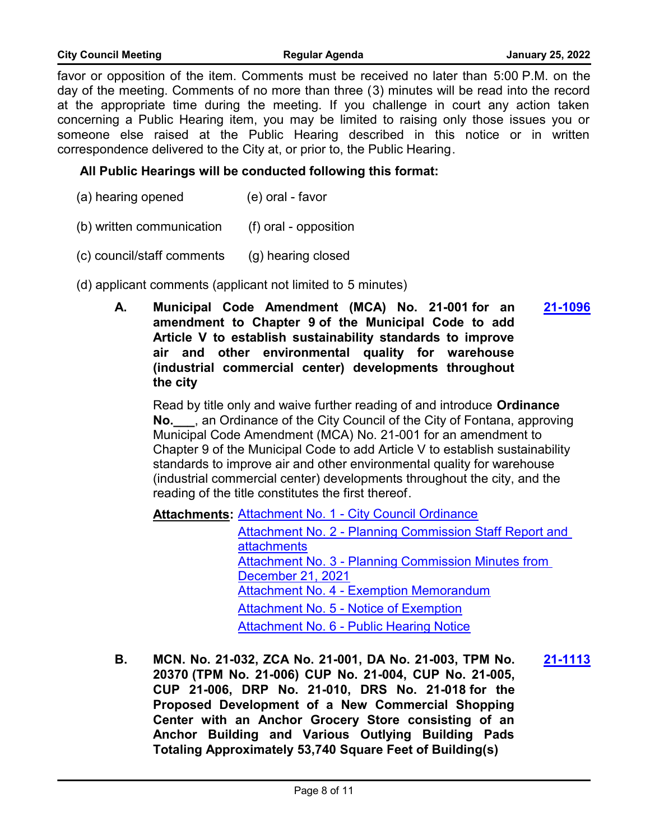favor or opposition of the item. Comments must be received no later than 5:00 P.M. on the day of the meeting. Comments of no more than three (3) minutes will be read into the record at the appropriate time during the meeting. If you challenge in court any action taken concerning a Public Hearing item, you may be limited to raising only those issues you or someone else raised at the Public Hearing described in this notice or in written correspondence delivered to the City at, or prior to, the Public Hearing.

#### **All Public Hearings will be conducted following this format:**

- (a) hearing opened (e) oral favor
- (b) written communication (f) oral opposition
- (c) council/staff comments (g) hearing closed
- (d) applicant comments (applicant not limited to 5 minutes)
	- **A. Municipal Code Amendment (MCA) No. 21-001 for an amendment to Chapter 9 of the Municipal Code to add Article V to establish sustainability standards to improve air and other environmental quality for warehouse (industrial commercial center) developments throughout the city [21-1096](http://fontana.legistar.com/gateway.aspx?m=l&id=/matter.aspx?key=2182)**

Read by title only and waive further reading of and introduce **Ordinance No.\_\_\_**, an Ordinance of the City Council of the City of Fontana, approving Municipal Code Amendment (MCA) No. 21-001 for an amendment to Chapter 9 of the Municipal Code to add Article V to establish sustainability standards to improve air and other environmental quality for warehouse (industrial commercial center) developments throughout the city, and the reading of the title constitutes the first thereof.

Attachments: [Attachment No. 1 - City Council Ordinance](http://fontana.legistar.com/gateway.aspx?M=F&ID=6ac5cf9f-b9ed-4931-946b-7c29d6c13da4.docx)

[Attachment No. 2 - Planning Commission Staff Report and](http://fontana.legistar.com/gateway.aspx?M=F&ID=2091f56d-6232-47d2-967b-d4a95fea7f6d.pdf)  attachments [Attachment No. 3 - Planning Commission Minutes from](http://fontana.legistar.com/gateway.aspx?M=F&ID=f07653af-7b71-43bd-a71d-dd034df69d9d.docx)  December 21, 2021 [Attachment No. 4 - Exemption Memorandum](http://fontana.legistar.com/gateway.aspx?M=F&ID=efa788b9-8648-478c-949b-9166966df306.docx) [Attachment No. 5 - Notice of Exemption](http://fontana.legistar.com/gateway.aspx?M=F&ID=5573020e-9f2a-4020-8a28-b02f6d8f0354.doc) [Attachment No. 6 - Public Hearing Notice](http://fontana.legistar.com/gateway.aspx?M=F&ID=44d09bdb-dc4c-4718-b000-038740658e12.docx)

**B. MCN. No. 21-032, ZCA No. 21-001, DA No. 21-003, TPM No. 20370 (TPM No. 21-006) CUP No. 21-004, CUP No. 21-005, CUP 21-006, DRP No. 21-010, DRS No. 21-018 for the Proposed Development of a New Commercial Shopping Center with an Anchor Grocery Store consisting of an Anchor Building and Various Outlying Building Pads Totaling Approximately 53,740 Square Feet of Building(s) [21-1113](http://fontana.legistar.com/gateway.aspx?m=l&id=/matter.aspx?key=2199)**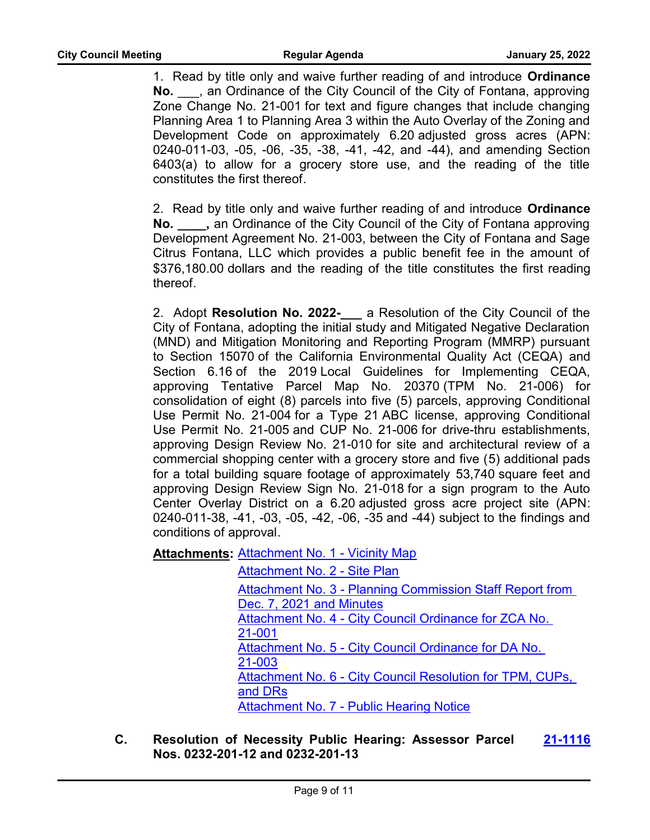1. Read by title only and waive further reading of and introduce **Ordinance No.** \_\_\_, an Ordinance of the City Council of the City of Fontana, approving Zone Change No. 21-001 for text and figure changes that include changing Planning Area 1 to Planning Area 3 within the Auto Overlay of the Zoning and Development Code on approximately 6.20 adjusted gross acres (APN: 0240-011-03, -05, -06, -35, -38, -41, -42, and -44), and amending Section 6403(a) to allow for a grocery store use, and the reading of the title constitutes the first thereof.

2. Read by title only and waive further reading of and introduce **Ordinance No. \_\_\_\_,** an Ordinance of the City Council of the City of Fontana approving Development Agreement No. 21-003, between the City of Fontana and Sage Citrus Fontana, LLC which provides a public benefit fee in the amount of \$376,180.00 dollars and the reading of the title constitutes the first reading thereof.

2. Adopt **Resolution No. 2022-\_\_\_** a Resolution of the City Council of the City of Fontana, adopting the initial study and Mitigated Negative Declaration (MND) and Mitigation Monitoring and Reporting Program (MMRP) pursuant to Section 15070 of the California Environmental Quality Act (CEQA) and Section 6.16 of the 2019 Local Guidelines for Implementing CEQA, approving Tentative Parcel Map No. 20370 (TPM No. 21-006) for consolidation of eight (8) parcels into five (5) parcels, approving Conditional Use Permit No. 21-004 for a Type 21 ABC license, approving Conditional Use Permit No. 21-005 and CUP No. 21-006 for drive-thru establishments, approving Design Review No. 21-010 for site and architectural review of a commercial shopping center with a grocery store and five (5) additional pads for a total building square footage of approximately 53,740 square feet and approving Design Review Sign No. 21-018 for a sign program to the Auto Center Overlay District on a 6.20 adjusted gross acre project site (APN: 0240-011-38, -41, -03, -05, -42, -06, -35 and -44) subject to the findings and conditions of approval.

**Attachments: [Attachment No. 1 - Vicinity Map](http://fontana.legistar.com/gateway.aspx?M=F&ID=a1f2dc37-2133-4065-81fe-cdc1e59ca6a9.doc)** 

[Attachment No. 2 - Site Plan](http://fontana.legistar.com/gateway.aspx?M=F&ID=f6f1003d-7075-4090-b1c7-f67d5143ffd3.doc) [Attachment No. 3 - Planning Commission Staff Report from](http://fontana.legistar.com/gateway.aspx?M=F&ID=04659dc9-ddde-481b-9db9-dc0338a0c27a.pdf)  Dec. 7, 2021 and Minutes Attachment No. 4 - City Council Ordinance for ZCA No. 21-001 [Attachment No. 5 - City Council Ordinance for DA No.](http://fontana.legistar.com/gateway.aspx?M=F&ID=7693837b-74a8-4ea2-8a64-6e8d27eda05f.docx)  21-003 Attachment No. 6 - City Council Resolution for TPM, CUPs, and DRs [Attachment No. 7 - Public Hearing Notice](http://fontana.legistar.com/gateway.aspx?M=F&ID=326d93f1-f2d6-408e-bc6f-ab476d05c7d6.doc)

**C. Resolution of Necessity Public Hearing: Assessor Parcel Nos. 0232-201-12 and 0232-201-13 [21-1116](http://fontana.legistar.com/gateway.aspx?m=l&id=/matter.aspx?key=2202)**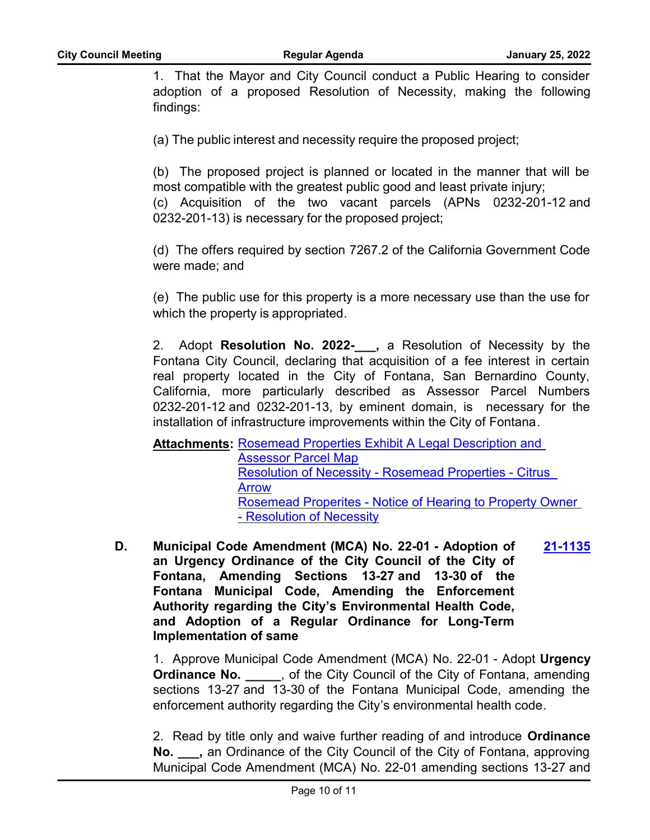1. That the Mayor and City Council conduct a Public Hearing to consider adoption of a proposed Resolution of Necessity, making the following findings:

(a) The public interest and necessity require the proposed project;

(b) The proposed project is planned or located in the manner that will be most compatible with the greatest public good and least private injury;

(c) Acquisition of the two vacant parcels (APNs 0232-201-12 and 0232-201-13) is necessary for the proposed project;

(d) The offers required by section 7267.2 of the California Government Code were made; and

(e) The public use for this property is a more necessary use than the use for which the property is appropriated.

2. Adopt **Resolution No. 2022-**, a Resolution of Necessity by the Fontana City Council, declaring that acquisition of a fee interest in certain real property located in the City of Fontana, San Bernardino County, California, more particularly described as Assessor Parcel Numbers 0232-201-12 and 0232-201-13, by eminent domain, is necessary for the installation of infrastructure improvements within the City of Fontana.

**Attachments: Rosemead Properties Exhibit A Legal Description and** Assessor Parcel Map [Resolution of Necessity - Rosemead Properties - Citrus](http://fontana.legistar.com/gateway.aspx?M=F&ID=16b5fb9c-a1ac-4da5-9297-6835176b2eb4.pdf)  Arrow [Rosemead Properites - Notice of Hearing to Property Owner](http://fontana.legistar.com/gateway.aspx?M=F&ID=d7d9731a-9cd1-472f-a4c9-3f620cdca1a6.pdf)  - Resolution of Necessity

**D. Municipal Code Amendment (MCA) No. 22-01 - Adoption of an Urgency Ordinance of the City Council of the City of Fontana, Amending Sections 13-27 and 13-30 of the Fontana Municipal Code, Amending the Enforcement Authority regarding the City's Environmental Health Code, and Adoption of a Regular Ordinance for Long-Term Implementation of same [21-1135](http://fontana.legistar.com/gateway.aspx?m=l&id=/matter.aspx?key=2221)**

1. Approve Municipal Code Amendment (MCA) No. 22-01 - Adopt **Urgency Ordinance No.** \_\_\_\_\_, of the City Council of the City of Fontana, amending sections 13-27 and 13-30 of the Fontana Municipal Code, amending the enforcement authority regarding the City's environmental health code.

2. Read by title only and waive further reading of and introduce **Ordinance No. \_\_\_,** an Ordinance of the City Council of the City of Fontana, approving Municipal Code Amendment (MCA) No. 22-01 amending sections 13-27 and